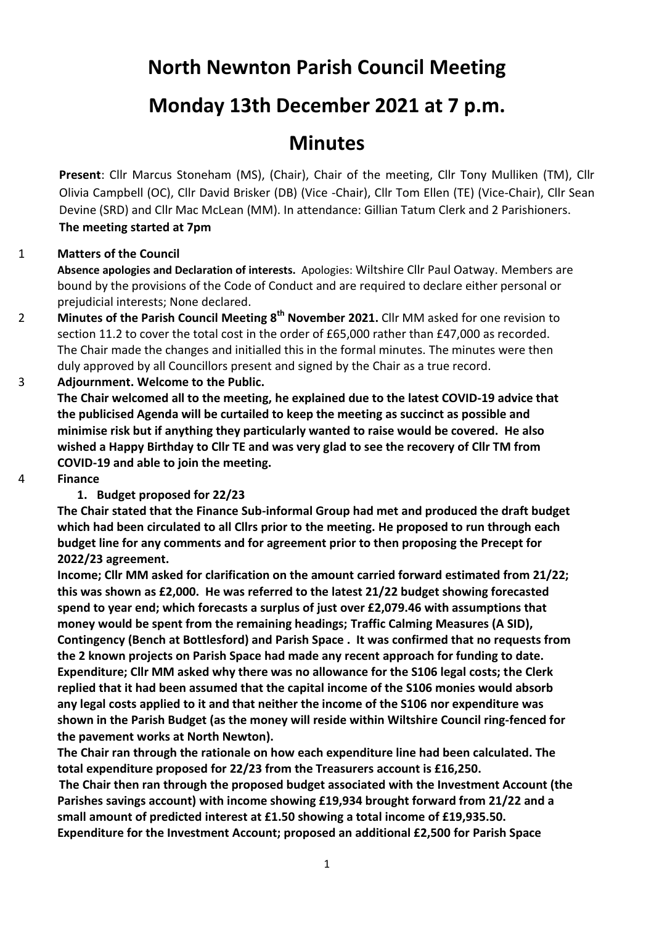# **North Newnton Parish Council Meeting**

# **Monday 13th December 2021 at 7 p.m.**

# **Minutes**

**Present**: Cllr Marcus Stoneham (MS), (Chair), Chair of the meeting, Cllr Tony Mulliken (TM), Cllr Olivia Campbell (OC), Cllr David Brisker (DB) (Vice -Chair), Cllr Tom Ellen (TE) (Vice-Chair), Cllr Sean Devine (SRD) and Cllr Mac McLean (MM). In attendance: Gillian Tatum Clerk and 2 Parishioners. **The meeting started at 7pm**

## 1 **Matters of the Council**

**Absence apologies and Declaration of interests.** Apologies: Wiltshire Cllr Paul Oatway. Members are bound by the provisions of the Code of Conduct and are required to declare either personal or prejudicial interests; None declared.

2 **Minutes of the Parish Council Meeting 8 th November 2021.** Cllr MM asked for one revision to section 11.2 to cover the total cost in the order of £65,000 rather than £47,000 as recorded. The Chair made the changes and initialled this in the formal minutes. The minutes were then duly approved by all Councillors present and signed by the Chair as a true record.

## 3 **Adjournment. Welcome to the Public.**

**The Chair welcomed all to the meeting, he explained due to the latest COVID-19 advice that the publicised Agenda will be curtailed to keep the meeting as succinct as possible and minimise risk but if anything they particularly wanted to raise would be covered. He also wished a Happy Birthday to Cllr TE and was very glad to see the recovery of Cllr TM from COVID-19 and able to join the meeting.**

4 **Finance**

#### **1. Budget proposed for 22/23**

**The Chair stated that the Finance Sub-informal Group had met and produced the draft budget which had been circulated to all Cllrs prior to the meeting. He proposed to run through each budget line for any comments and for agreement prior to then proposing the Precept for 2022/23 agreement.**

**Income; Cllr MM asked for clarification on the amount carried forward estimated from 21/22; this was shown as £2,000. He was referred to the latest 21/22 budget showing forecasted spend to year end; which forecasts a surplus of just over £2,079.46 with assumptions that money would be spent from the remaining headings; Traffic Calming Measures (A SID), Contingency (Bench at Bottlesford) and Parish Space . It was confirmed that no requests from the 2 known projects on Parish Space had made any recent approach for funding to date. Expenditure; Cllr MM asked why there was no allowance for the S106 legal costs; the Clerk replied that it had been assumed that the capital income of the S106 monies would absorb any legal costs applied to it and that neither the income of the S106 nor expenditure was shown in the Parish Budget (as the money will reside within Wiltshire Council ring-fenced for the pavement works at North Newton).** 

**The Chair ran through the rationale on how each expenditure line had been calculated. The total expenditure proposed for 22/23 from the Treasurers account is £16,250. The Chair then ran through the proposed budget associated with the Investment Account (the** 

**Parishes savings account) with income showing £19,934 brought forward from 21/22 and a small amount of predicted interest at £1.50 showing a total income of £19,935.50. Expenditure for the Investment Account; proposed an additional £2,500 for Parish Space**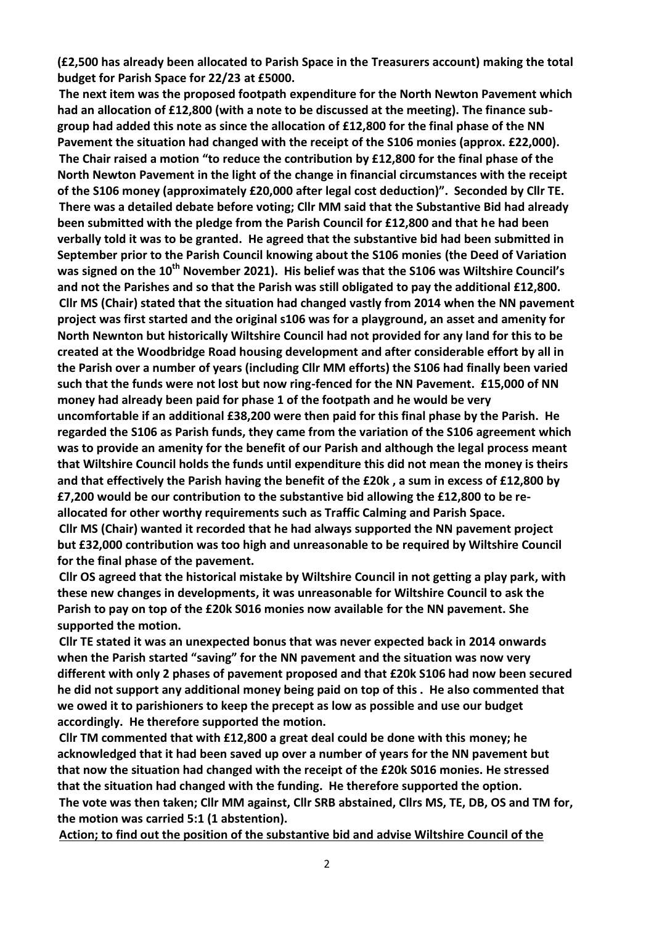**(£2,500 has already been allocated to Parish Space in the Treasurers account) making the total budget for Parish Space for 22/23 at £5000.**

**The next item was the proposed footpath expenditure for the North Newton Pavement which had an allocation of £12,800 (with a note to be discussed at the meeting). The finance subgroup had added this note as since the allocation of £12,800 for the final phase of the NN Pavement the situation had changed with the receipt of the S106 monies (approx. £22,000). The Chair raised a motion "to reduce the contribution by £12,800 for the final phase of the North Newton Pavement in the light of the change in financial circumstances with the receipt of the S106 money (approximately £20,000 after legal cost deduction)". Seconded by Cllr TE. There was a detailed debate before voting; Cllr MM said that the Substantive Bid had already been submitted with the pledge from the Parish Council for £12,800 and that he had been verbally told it was to be granted. He agreed that the substantive bid had been submitted in September prior to the Parish Council knowing about the S106 monies (the Deed of Variation was signed on the 10th November 2021). His belief was that the S106 was Wiltshire Council's and not the Parishes and so that the Parish was still obligated to pay the additional £12,800. Cllr MS (Chair) stated that the situation had changed vastly from 2014 when the NN pavement project was first started and the original s106 was for a playground, an asset and amenity for North Newnton but historically Wiltshire Council had not provided for any land for this to be created at the Woodbridge Road housing development and after considerable effort by all in the Parish over a number of years (including Cllr MM efforts) the S106 had finally been varied such that the funds were not lost but now ring-fenced for the NN Pavement. £15,000 of NN money had already been paid for phase 1 of the footpath and he would be very uncomfortable if an additional £38,200 were then paid for this final phase by the Parish. He regarded the S106 as Parish funds, they came from the variation of the S106 agreement which was to provide an amenity for the benefit of our Parish and although the legal process meant that Wiltshire Council holds the funds until expenditure this did not mean the money is theirs and that effectively the Parish having the benefit of the £20k , a sum in excess of £12,800 by £7,200 would be our contribution to the substantive bid allowing the £12,800 to be reallocated for other worthy requirements such as Traffic Calming and Parish Space. Cllr MS (Chair) wanted it recorded that he had always supported the NN pavement project but £32,000 contribution was too high and unreasonable to be required by Wiltshire Council** 

**for the final phase of the pavement. Cllr OS agreed that the historical mistake by Wiltshire Council in not getting a play park, with these new changes in developments, it was unreasonable for Wiltshire Council to ask the Parish to pay on top of the £20k S016 monies now available for the NN pavement. She supported the motion.**

**Cllr TE stated it was an unexpected bonus that was never expected back in 2014 onwards when the Parish started "saving" for the NN pavement and the situation was now very different with only 2 phases of pavement proposed and that £20k S106 had now been secured he did not support any additional money being paid on top of this . He also commented that we owed it to parishioners to keep the precept as low as possible and use our budget accordingly. He therefore supported the motion.**

**Cllr TM commented that with £12,800 a great deal could be done with this money; he acknowledged that it had been saved up over a number of years for the NN pavement but that now the situation had changed with the receipt of the £20k S016 monies. He stressed that the situation had changed with the funding. He therefore supported the option. The vote was then taken; Cllr MM against, Cllr SRB abstained, Cllrs MS, TE, DB, OS and TM for, the motion was carried 5:1 (1 abstention).**

**Action; to find out the position of the substantive bid and advise Wiltshire Council of the**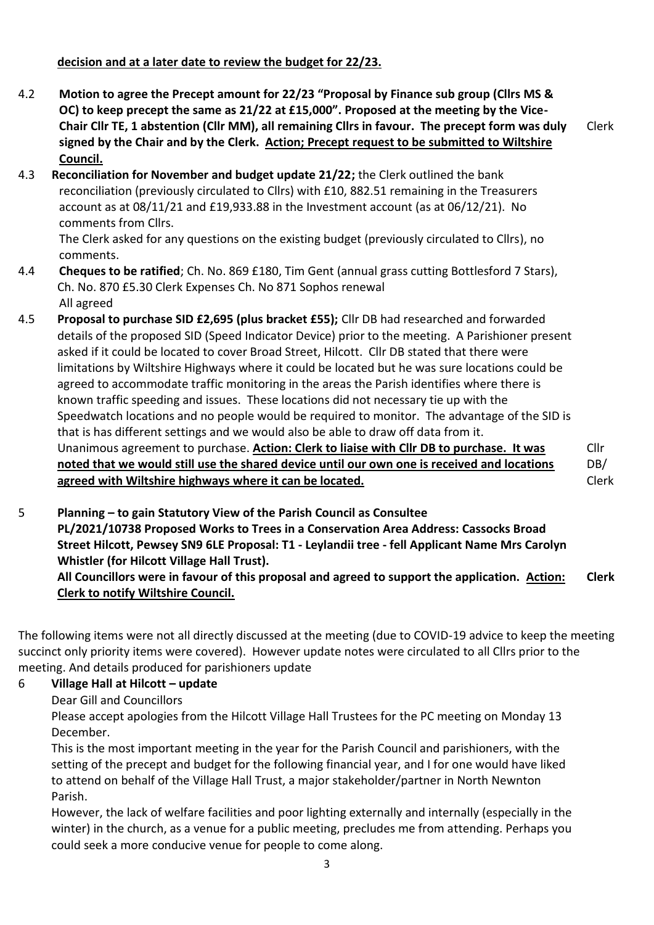## **decision and at a later date to review the budget for 22/23.**

- 4.2 **Motion to agree the Precept amount for 22/23 "Proposal by Finance sub group (Cllrs MS & OC) to keep precept the same as 21/22 at £15,000". Proposed at the meeting by the Vice-Chair Cllr TE, 1 abstention (Cllr MM), all remaining Cllrs in favour. The precept form was duly signed by the Chair and by the Clerk. Action; Precept request to be submitted to Wiltshire Council.** Clerk
- 4.3**Bank Reconciliation for November and budget update 21/22;** the Clerk outlined the bank reconciliation (previously circulated to Cllrs) with £10, 882.51 remaining in the Treasurers account as at 08/11/21 and £19,933.88 in the Investment account (as at 06/12/21). No comments from Cllrs.

The Clerk asked for any questions on the existing budget (previously circulated to Cllrs), no comments.

- 4.4 **Cheques to be ratified**; Ch. No. 869 £180, Tim Gent (annual grass cutting Bottlesford 7 Stars), Ch. No. 870 £5.30 Clerk Expenses Ch. No 871 Sophos renewal All agreed
- 4.5 **Proposal to purchase SID £2,695 (plus bracket £55);** Cllr DB had researched and forwarded details of the proposed SID (Speed Indicator Device) prior to the meeting. A Parishioner present asked if it could be located to cover Broad Street, Hilcott. Cllr DB stated that there were limitations by Wiltshire Highways where it could be located but he was sure locations could be agreed to accommodate traffic monitoring in the areas the Parish identifies where there is known traffic speeding and issues. These locations did not necessary tie up with the Speedwatch locations and no people would be required to monitor. The advantage of the SID is that is has different settings and we would also be able to draw off data from it. Unanimous agreement to purchase. **Action: Clerk to liaise with Cllr DB to purchase. It was noted that we would still use the shared device until our own one is received and locations agreed with Wiltshire highways where it can be located.**

Cllr DB/ Clerk

5 **Planning – to gain Statutory View of the Parish Council as Consultee**

**PL/2021/10738 Proposed Works to Trees in a Conservation Area Address: Cassocks Broad Street Hilcott, Pewsey SN9 6LE Proposal: T1 - Leylandii tree - fell Applicant Name Mrs Carolyn Whistler (for Hilcott Village Hall Trust).**

**All Councillors were in favour of this proposal and agreed to support the application. Action: Clerk to notify Wiltshire Council. Clerk**

The following items were not all directly discussed at the meeting (due to COVID-19 advice to keep the meeting succinct only priority items were covered). However update notes were circulated to all Cllrs prior to the meeting. And details produced for parishioners update

#### 6 **Village Hall at Hilcott – update**

Dear Gill and Councillors

Please accept apologies from the Hilcott Village Hall Trustees for the PC meeting on Monday 13 December.

This is the most important meeting in the year for the Parish Council and parishioners, with the setting of the precept and budget for the following financial year, and I for one would have liked to attend on behalf of the Village Hall Trust, a major stakeholder/partner in North Newnton Parish.

However, the lack of welfare facilities and poor lighting externally and internally (especially in the winter) in the church, as a venue for a public meeting, precludes me from attending. Perhaps you could seek a more conducive venue for people to come along.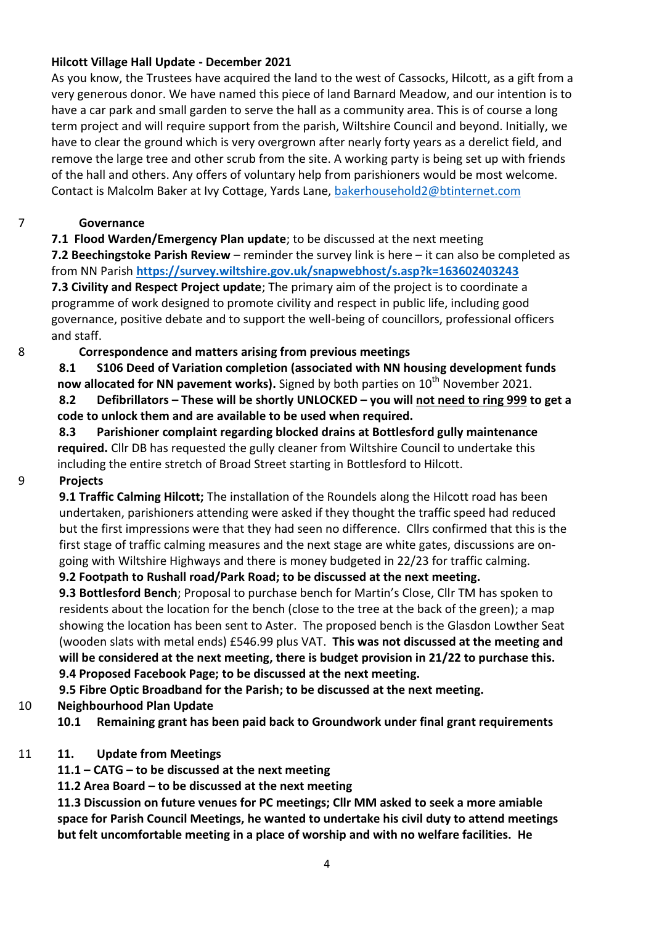### **Hilcott Village Hall Update - December 2021**

As you know, the Trustees have acquired the land to the west of Cassocks, Hilcott, as a gift from a very generous donor. We have named this piece of land Barnard Meadow, and our intention is to have a car park and small garden to serve the hall as a community area. This is of course a long term project and will require support from the parish, Wiltshire Council and beyond. Initially, we have to clear the ground which is very overgrown after nearly forty years as a derelict field, and remove the large tree and other scrub from the site. A working party is being set up with friends of the hall and others. Any offers of voluntary help from parishioners would be most welcome. Contact is Malcolm Baker at Ivy Cottage, Yards Lane, [bakerhousehold2@btinternet.com](mailto:bakerhousehold2@btinternet.com)

#### 7 **Governance**

## **7.1 Flood Warden/Emergency Plan update**; to be discussed at the next meeting

**7.2 Beechingstoke Parish Review** – reminder the survey link is here – it can also be completed as from NN Parish **<https://survey.wiltshire.gov.uk/snapwebhost/s.asp?k=163602403243> 7.3 Civility and Respect Project update**; The primary aim of the project is to coordinate a programme of work designed to promote civility and respect in public life, including good governance, positive debate and to support the well-being of councillors, professional officers and staff.

## 8 **Correspondence and matters arising from previous meetings**

**8.1 S106 Deed of Variation completion (associated with NN housing development funds** 

**now allocated for NN pavement works).** Signed by both parties on 10<sup>th</sup> November 2021.

**8.2 Defibrillators – These will be shortly UNLOCKED – you will not need to ring 999 to get a code to unlock them and are available to be used when required.**

**8.3 Parishioner complaint regarding blocked drains at Bottlesford gully maintenance required.** Cllr DB has requested the gully cleaner from Wiltshire Council to undertake this including the entire stretch of Broad Street starting in Bottlesford to Hilcott.

#### 9 **Projects**

**9.1 Traffic Calming Hilcott;** The installation of the Roundels along the Hilcott road has been undertaken, parishioners attending were asked if they thought the traffic speed had reduced but the first impressions were that they had seen no difference. Cllrs confirmed that this is the first stage of traffic calming measures and the next stage are white gates, discussions are ongoing with Wiltshire Highways and there is money budgeted in 22/23 for traffic calming.

# **9.2 Footpath to Rushall road/Park Road; to be discussed at the next meeting.**

**9.3 Bottlesford Bench**; Proposal to purchase bench for Martin's Close, Cllr TM has spoken to residents about the location for the bench (close to the tree at the back of the green); a map showing the location has been sent to Aster. The proposed bench is the Glasdon Lowther Seat (wooden slats with metal ends) £546.99 plus VAT. **This was not discussed at the meeting and will be considered at the next meeting, there is budget provision in 21/22 to purchase this. 9.4 Proposed Facebook Page; to be discussed at the next meeting.**

# **9.5 Fibre Optic Broadband for the Parish; to be discussed at the next meeting.**

- 10 **Neighbourhood Plan Update**
	- **10.1 Remaining grant has been paid back to Groundwork under final grant requirements**

# 11 **11. Update from Meetings**

**11.1 – CATG – to be discussed at the next meeting**

**11.2 Area Board – to be discussed at the next meeting**

**11.3 Discussion on future venues for PC meetings; Cllr MM asked to seek a more amiable space for Parish Council Meetings, he wanted to undertake his civil duty to attend meetings but felt uncomfortable meeting in a place of worship and with no welfare facilities. He**